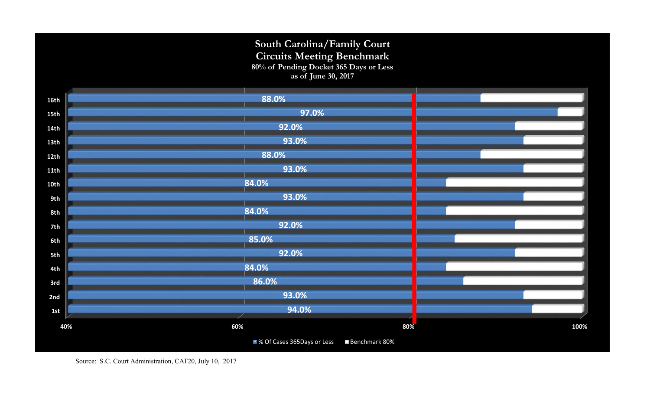## **South Carolina/Family Court Circuits Meeting Benchmark 80% of Pending Docket 365 Days or Less as of June 30, 2017**

| 16th        | 88.0%                                         |      |
|-------------|-----------------------------------------------|------|
| 15th        | 97.0%                                         |      |
| <b>14th</b> | 92.0%                                         |      |
| 13th        | 93.0%                                         |      |
| 12th        | 88.0%                                         |      |
| 11th        | 93.0%                                         |      |
| 10th        | 84.0%                                         |      |
| 9th         | 93.0%                                         |      |
| 8th         | 84.0%                                         |      |
| 7th         | 92.0%                                         |      |
| 6th         | 85.0%                                         |      |
| 5th         | 92.0%                                         |      |
| 4th         | 84.0%                                         |      |
| 3rd         | 86.0%                                         |      |
| 2nd         | 93.0%                                         |      |
| 1st         | 94.0%                                         |      |
| 40%         | 60%<br>$80\%$                                 | 100% |
|             | ■ % Of Cases 365Days or Less<br>Benchmark 80% |      |
|             |                                               |      |